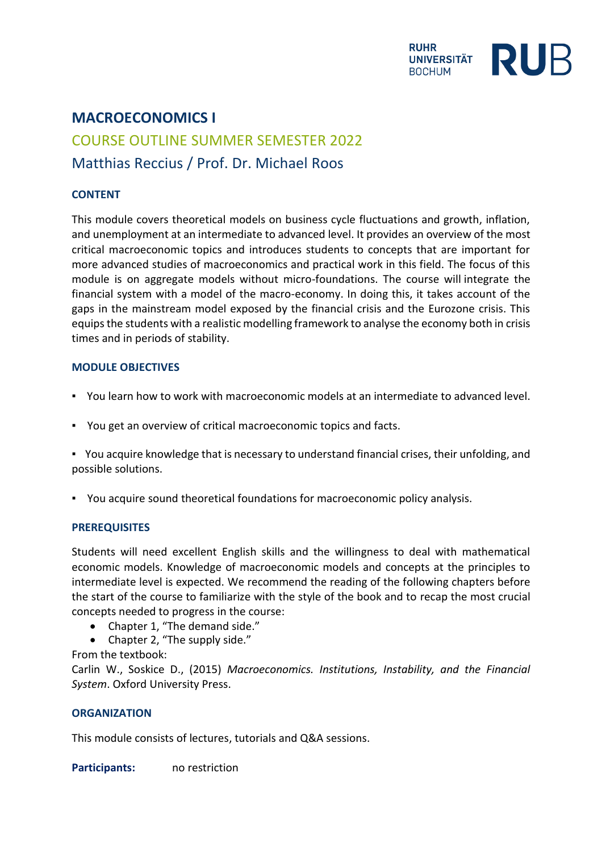

# **MACROECONOMICS I** COURSE OUTLINE SUMMER SEMESTER 2022 Matthias Reccius / Prof. Dr. Michael Roos

## **CONTENT**

This module covers theoretical models on business cycle fluctuations and growth, inflation, and unemployment at an intermediate to advanced level. It provides an overview of the most critical macroeconomic topics and introduces students to concepts that are important for more advanced studies of macroeconomics and practical work in this field. The focus of this module is on aggregate models without micro-foundations. The course will integrate the financial system with a model of the macro-economy. In doing this, it takes account of the gaps in the mainstream model exposed by the financial crisis and the Eurozone crisis. This equips the students with a realistic modelling framework to analyse the economy both in crisis times and in periods of stability.

## **MODULE OBJECTIVES**

- You learn how to work with macroeconomic models at an intermediate to advanced level.
- You get an overview of critical macroeconomic topics and facts.
- You acquire knowledge that is necessary to understand financial crises, their unfolding, and possible solutions.
- You acquire sound theoretical foundations for macroeconomic policy analysis.

## **PREREQUISITES**

Students will need excellent English skills and the willingness to deal with mathematical economic models. Knowledge of macroeconomic models and concepts at the principles to intermediate level is expected. We recommend the reading of the following chapters before the start of the course to familiarize with the style of the book and to recap the most crucial concepts needed to progress in the course:

- Chapter 1, "The demand side."
- Chapter 2, "The supply side."

## From the textbook:

Carlin W., Soskice D., (2015) *Macroeconomics. Institutions, Instability, and the Financial System*. Oxford University Press.

## **ORGANIZATION**

This module consists of lectures, tutorials and Q&A sessions.

**Participants:** no restriction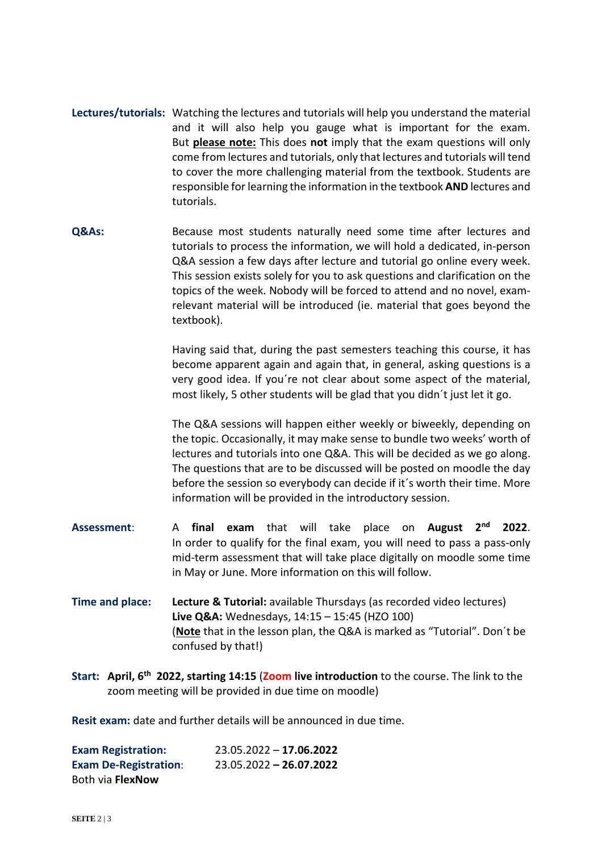- **Lectures/tutorials:** Watching the lectures and tutorials will help you understand the material and it will also help you gauge what is important for the exam. But **please note:** This does **not** imply that the exam questions will only come from lectures and tutorials, only that lectures and tutorials will tend to cover the more challenging material from the textbook. Students are responsible for learning the information in the textbook **AND** lectures and tutorials.
- **Q&As:** Because most students naturally need some time after lectures and tutorials to process the information, we will hold a dedicated, in-person Q&A session a few days after lecture and tutorial go online every week. This session exists solely for you to ask questions and clarification on the topics of the week. Nobody will be forced to attend and no novel, examrelevant material will be introduced (ie. material that goes beyond the textbook).

Having said that, during the past semesters teaching this course, it has become apparent again and again that, in general, asking questions is a very good idea. If you´re not clear about some aspect of the material, most likely, 5 other students will be glad that you didn´t just let it go.

The Q&A sessions will happen either weekly or biweekly, depending on the topic. Occasionally, it may make sense to bundle two weeks' worth of lectures and tutorials into one Q&A. This will be decided as we go along. The questions that are to be discussed will be posted on moodle the day before the session so everybody can decide if it´s worth their time. More information will be provided in the introductory session.

- **Assessment**: A **final exam** that will take place on **August 2nd 2022**. In order to qualify for the final exam, you will need to pass a pass-only mid-term assessment that will take place digitally on moodle some time in May or June. More information on this will follow.
- **Time and place: Lecture & Tutorial:** available Thursdays (as recorded video lectures) **Live Q&A:** Wednesdays, 14:15 – 15:45 (HZO 100) (**Note** that in the lesson plan, the Q&A is marked as "Tutorial". Don´t be confused by that!)
- **Start: April, 6 th 2022, starting 14:15** (**Zoom live introduction** to the course. The link to the zoom meeting will be provided in due time on moodle)

**Resit exam:** date and further details will be announced in due time.

| <b>Exam Registration:</b>    | $23.05.2022 - 17.06.2022$ |
|------------------------------|---------------------------|
| <b>Exam De-Registration:</b> | $23.05.2022 - 26.07.2022$ |
| Both via FlexNow             |                           |